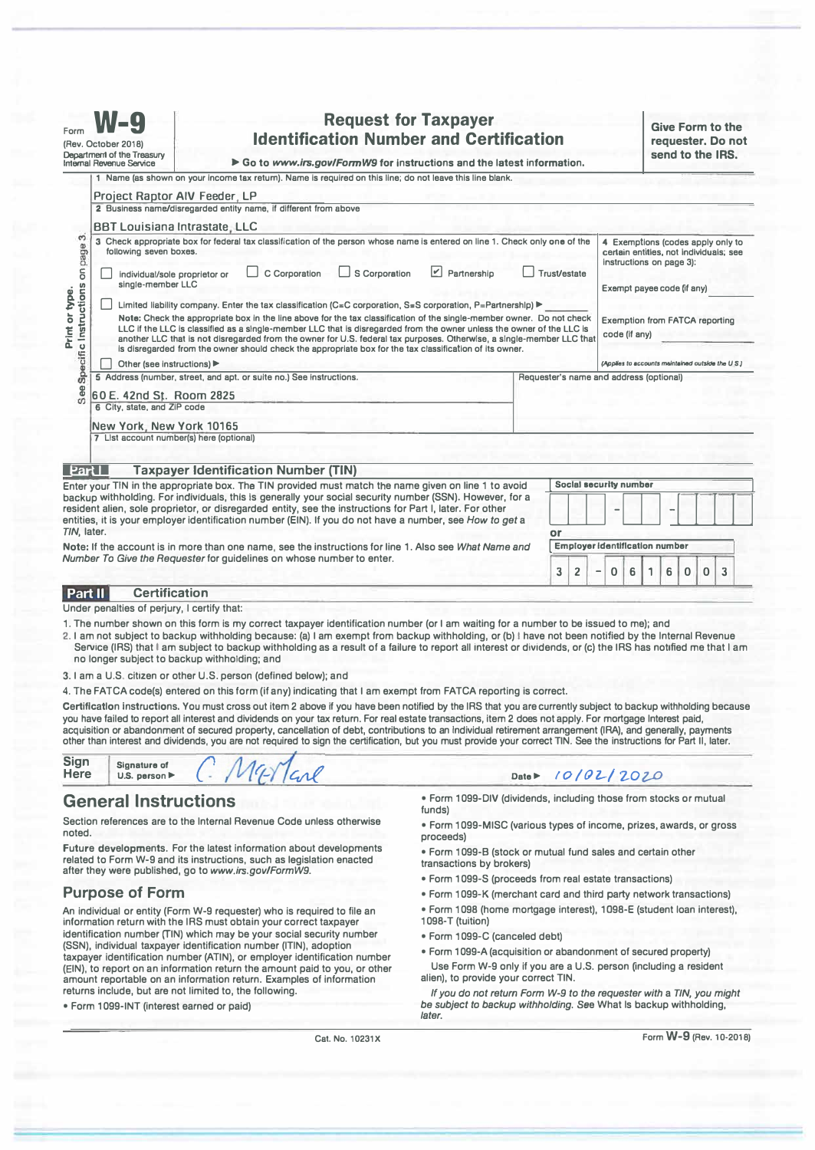| <b>Request for Taxpayer</b><br>Form<br><b>Identification Number and Certification</b><br>(Rev. October 2018)<br>Department of the Treasury<br>Go to www.irs.gov/FormW9 for instructions and the latest information.<br>Internal Revenue Service                                                                                   |                                                                                                                                                                                                                                                                                                                                                                                                                                                                                                                                                                                                   |                          |                                                                                                           |  |                                                        |  |                                                                                              | <b>Give Form to the</b><br>requester. Do not<br>send to the IRS.                                        |                        |   |   |   |          |   |
|-----------------------------------------------------------------------------------------------------------------------------------------------------------------------------------------------------------------------------------------------------------------------------------------------------------------------------------|---------------------------------------------------------------------------------------------------------------------------------------------------------------------------------------------------------------------------------------------------------------------------------------------------------------------------------------------------------------------------------------------------------------------------------------------------------------------------------------------------------------------------------------------------------------------------------------------------|--------------------------|-----------------------------------------------------------------------------------------------------------|--|--------------------------------------------------------|--|----------------------------------------------------------------------------------------------|---------------------------------------------------------------------------------------------------------|------------------------|---|---|---|----------|---|
|                                                                                                                                                                                                                                                                                                                                   |                                                                                                                                                                                                                                                                                                                                                                                                                                                                                                                                                                                                   |                          | 1 Name (as shown on your income tax return). Name is required on this line; do not leave this line blank. |  |                                                        |  |                                                                                              |                                                                                                         |                        |   |   |   |          |   |
|                                                                                                                                                                                                                                                                                                                                   | <b>Project Raptor AIV Feeder, LP</b>                                                                                                                                                                                                                                                                                                                                                                                                                                                                                                                                                              |                          |                                                                                                           |  |                                                        |  |                                                                                              |                                                                                                         |                        |   |   |   |          |   |
|                                                                                                                                                                                                                                                                                                                                   | 2 Business name/disregarded entity name, if different from above                                                                                                                                                                                                                                                                                                                                                                                                                                                                                                                                  |                          |                                                                                                           |  |                                                        |  |                                                                                              |                                                                                                         |                        |   |   |   |          |   |
|                                                                                                                                                                                                                                                                                                                                   | <b>BBT Louisiana Intrastate, LLC</b>                                                                                                                                                                                                                                                                                                                                                                                                                                                                                                                                                              |                          |                                                                                                           |  |                                                        |  |                                                                                              |                                                                                                         |                        |   |   |   |          |   |
| 6<br>Specific Instructions on page<br>Print or type.                                                                                                                                                                                                                                                                              | 3 Check appropriate box for federal tax classification of the person whose name is entered on line 1. Check only one of the<br>following seven boxes.                                                                                                                                                                                                                                                                                                                                                                                                                                             |                          |                                                                                                           |  |                                                        |  |                                                                                              | 4 Exemptions (codes apply only to<br>certain entities, not individuals; see<br>instructions on page 3): |                        |   |   |   |          |   |
|                                                                                                                                                                                                                                                                                                                                   | $ \mathcal{V} $<br>C Corporation<br>S Corporation<br>Trust/estate<br>Partnership<br>individual/sole proprietor or<br>single-member LLC                                                                                                                                                                                                                                                                                                                                                                                                                                                            |                          |                                                                                                           |  |                                                        |  | Exempt payee code (if any)                                                                   |                                                                                                         |                        |   |   |   |          |   |
|                                                                                                                                                                                                                                                                                                                                   | Limited liability company. Enter the tax classification (C=C corporation, S=S corporation, P=Partnershlp) ▶<br>Note: Check the appropriate box in the line above for the tax classification of the single-member owner. Do not check<br>LLC if the LLC is classified as a single-member LLC that is disregarded from the owner unless the owner of the LLC is<br>another LLC that is not disregarded from the owner for U.S. federal tax purposes. Otherwise, a single-member LLC that<br>is disregarded from the owner should check the appropriate box for the tax classification of its owner. |                          |                                                                                                           |  | <b>Exemption from FATCA reporting</b><br>code (if any) |  |                                                                                              |                                                                                                         |                        |   |   |   |          |   |
|                                                                                                                                                                                                                                                                                                                                   | Other (see instructions)                                                                                                                                                                                                                                                                                                                                                                                                                                                                                                                                                                          |                          |                                                                                                           |  |                                                        |  | (Applies to accounts maintained outside the U.S.)<br>Requester's name and address (optional) |                                                                                                         |                        |   |   |   |          |   |
| See                                                                                                                                                                                                                                                                                                                               | 5 Address (number, street, and apt, or suite no.) See instructions.<br>60 E. 42nd St. Room 2825<br>6 City, state, and ZiP code                                                                                                                                                                                                                                                                                                                                                                                                                                                                    |                          |                                                                                                           |  |                                                        |  |                                                                                              |                                                                                                         |                        |   |   |   |          |   |
|                                                                                                                                                                                                                                                                                                                                   |                                                                                                                                                                                                                                                                                                                                                                                                                                                                                                                                                                                                   | New York, New York 10165 |                                                                                                           |  |                                                        |  |                                                                                              |                                                                                                         |                        |   |   |   |          |   |
|                                                                                                                                                                                                                                                                                                                                   | 7 List account number(s) here (optional)                                                                                                                                                                                                                                                                                                                                                                                                                                                                                                                                                          |                          |                                                                                                           |  |                                                        |  |                                                                                              |                                                                                                         |                        |   |   |   |          |   |
| Part I                                                                                                                                                                                                                                                                                                                            |                                                                                                                                                                                                                                                                                                                                                                                                                                                                                                                                                                                                   |                          | <b>Taxpayer Identification Number (TIN)</b>                                                               |  |                                                        |  |                                                                                              |                                                                                                         |                        |   |   |   |          |   |
|                                                                                                                                                                                                                                                                                                                                   |                                                                                                                                                                                                                                                                                                                                                                                                                                                                                                                                                                                                   |                          | Enter your TIN in the appropriate box. The TIN provided must match the name given on line 1 to avoid      |  |                                                        |  |                                                                                              |                                                                                                         | Social security number |   |   |   |          |   |
| backup withholding. For individuals, this is generally your social security number (SSN). However, for a<br>resident alien, sole proprietor, or disregarded entity, see the instructions for Part I, later. For other<br>entities, it is your employer identification number (EIN). If you do not have a number, see How to get a |                                                                                                                                                                                                                                                                                                                                                                                                                                                                                                                                                                                                   |                          |                                                                                                           |  |                                                        |  |                                                                                              |                                                                                                         |                        |   |   |   |          |   |
| TIN. later.                                                                                                                                                                                                                                                                                                                       |                                                                                                                                                                                                                                                                                                                                                                                                                                                                                                                                                                                                   |                          |                                                                                                           |  |                                                        |  | or                                                                                           |                                                                                                         |                        |   |   |   |          |   |
|                                                                                                                                                                                                                                                                                                                                   |                                                                                                                                                                                                                                                                                                                                                                                                                                                                                                                                                                                                   |                          | Note: If the account is in more than one name, see the instructions for line 1. Also see What Name and    |  |                                                        |  | <b>Employer identification number</b>                                                        |                                                                                                         |                        |   |   |   |          |   |
| Number To Give the Requester for guidelines on whose number to enter.                                                                                                                                                                                                                                                             |                                                                                                                                                                                                                                                                                                                                                                                                                                                                                                                                                                                                   |                          |                                                                                                           |  |                                                        |  | 3                                                                                            | 2<br>-                                                                                                  | 6<br>0                 | 1 | 6 | 0 | $\Omega$ | 3 |

**Certification Part II** 

Under penalties of perjury, I certify that:

- **1. The number shown on this form is my correct taxpayer identification number (or I am waiting for a number to be issued to me); and**
- **2. I am not subject to backup withholding because: (a) I am exempt from backup withholding, or (b) I have not been notified by the Internal Revenue Service (IRS) that I am subject to backup withholding as a result of a failure to report all interest or dividends, or (c) the IRS has notified me that I am no longer subject to backup withholding; and**
- **3. I am a U.S. citizen or other U.S. person (defined below); and**

**4. The FATCA code(s) entered on this form (if any) indicating that I am exempt from FATCA reporting is correct.** 

Certification instructions. You must cross out item 2 above if you have been notified by the IRS that you are currently subject to backup withholding because **you have failed to report all interest and dividends on your tax return. For real estate transactions, item 2 does not apply. For mortgage Interest paid, acquisition or abandonment of secured property, cancellation of debt, contributions to an Individual retirement arrangement (IRA), and generally, payments other than interest and dividends, you are not required to sign the certification, but you must provide your correct TIN. See the instructions for Part II, later.** 

| Sign<br><b>Here</b> | Signature of                      |  |  |
|---------------------|-----------------------------------|--|--|
|                     | U.S. person $\blacktriangleright$ |  |  |

# **General Instructions**

**Section references are to the Internal Revenue Code unless otherwise noted.** 

Future developments. For the latest information about developments **related to Form W-9 and its instructions, such as legislation enacted after they were published, go to** *www.irs.gov/FormW9.* 

# **Purpose of Form**

**An individual or entity (Form W-9 requester) who is required to file an information return with the IRS must obtain your correct taxpayer identification number (TIN) which** *may* **be your social security number (SSN), individual taxpayer identification number (ITIN), adoption taxpayer identification number (ATIN), or employer identification number (EIN), to report on an information return the amount paid to you, or other amount reportable on an information return. Examples of information returns include, but are not limited to, the following.** 

**• Form 1099-INT (interest earned or paid)** 

## Date ▶ /0/02/2020

**• Form 1099-DIV (dividends, including those from stocks or mutual funds)** 

**• Form 1099-MISC (various types of income, prizes, awards, or gross proceeds)** 

- **Form 1099-8 (stock or mutual fund sales and certain other transactions by brokers)**
- **Form 1099-S (proceeds from real estate transactions)**
- **Form 1099-K (merchant card and third party network transactions)**
- **Form 1098 (home mortgage interest), 1098-E (student loan interest), 1098-T (tuition)**
- **Form 1099-C (canceled debt)**
- **Form 1099-A (acquisition or abandonment of secured property)**
- Use Form W-9 only if you are a U.S. person (including a resident **alien), to provide your correct TIN.**

*If you do not return Form W-9 to the requester with* **a** *TIN, you might be subject to backup withholding.* **See What Is backup withholding,**  *later.* 

**Cat. No. 10231X** 

**Form W-9 (Rev. 10-2018)**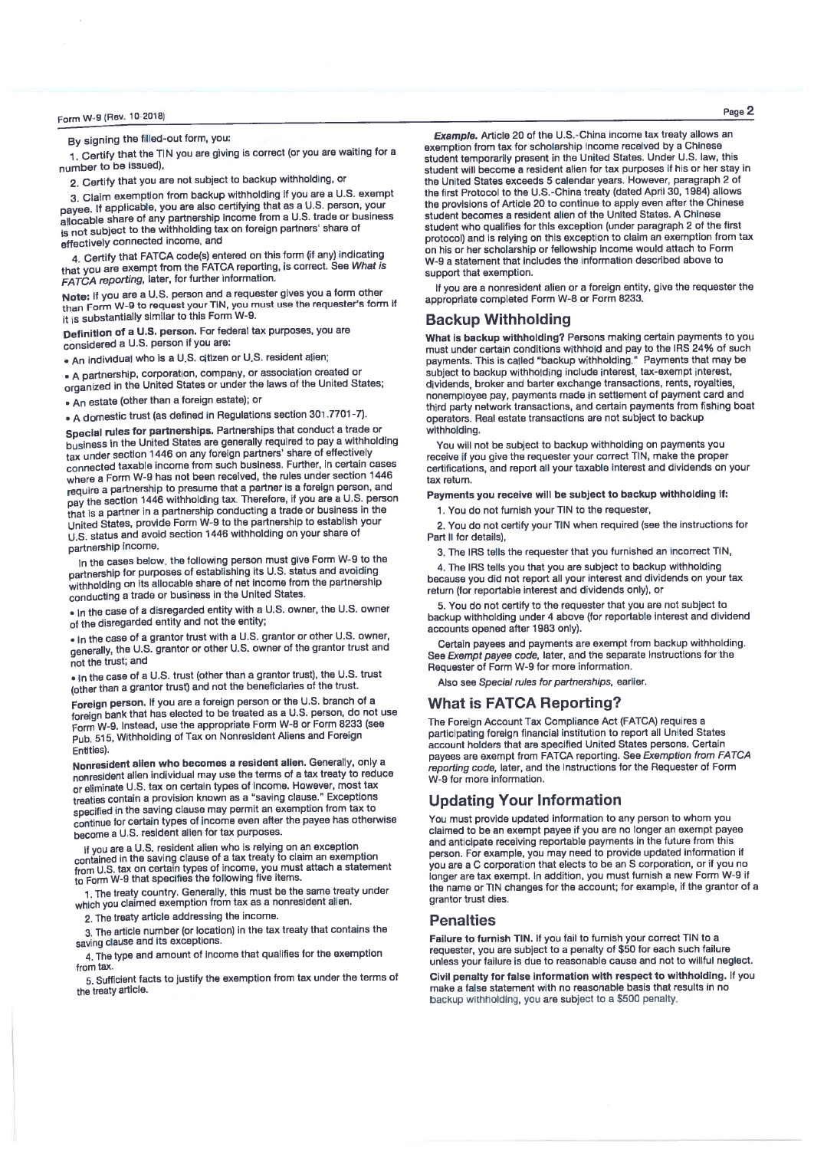By signing the filled-out form, you:

1. Certify that the TIN you are giving is correct (or you are waiting for a number to be issued).

2. Certify that you are not subject to backup withholding, or

3. Claim exemption from backup withholding if you are a U.S. exempt payee. If applicable, you are also certifying that as a U.S. person, your allocable share of any partnership income from a U.S. trade or business is not subject to the withholding tax on foreign partners' share of effectively connected income, and

4. Certify that FATCA code(s) entered on this form (if any) indicating that you are exempt from the FATCA reporting, is correct. See What is FATCA reporting, later, for further information.

Note: If you are a U.S. person and a requester gives you a form other than Form W-9 to request your TIN, you must use the requester's form if it is substantially similar to this Form W-9.

Definition of a U.S. person. For federal tax purposes, you are considered a U.S. person if you are:

. An individual who is a U.S. citizen or U.S. resident alien:

• A partnership, corporation, company, or association created or organized in the United States or under the laws of the United States:

. An estate (other than a foreign estate); or

• A domestic trust (as defined in Regulations section 301.7701-7).

Special rules for partnerships. Partnerships that conduct a trade or business in the United States are generally required to pay a withholding tax under section 1446 on any foreign partners' share of effectively connected taxable income from such business. Further, in certain cases where a Form W-9 has not been received, the rules under section 1446 require a partnership to presume that a partner is a foreign person, and pay the section 1446 withholding tax. Therefore, if you are a U.S. person that is a partner in a partnership conducting a trade or business in the United States, provide Form W-9 to the partnership to establish your U.S. status and avoid section 1446 withholding on your share of partnership income.

In the cases below, the following person must give Form W-9 to the partnership for purposes of establishing its U.S. status and avoiding withholding on its allocable share of net income from the partnership conducting a trade or business in the United States.

 $\bullet$  In the case of a disregarded entity with a U.S. owner, the U.S. owner of the disregarded entity and not the entity;

. In the case of a grantor trust with a U.S. grantor or other U.S. owner, generally, the U.S. grantor or other U.S. owner of the grantor trust and not the trust; and

. In the case of a U.S. trust (other than a grantor trust), the U.S. trust (other than a grantor trust) and not the beneficiaries of the trust.

Foreign person. If you are a foreign person or the U.S. branch of a foreign bank that has elected to be treated as a U.S. person, do not use Form W-9. Instead, use the appropriate Form W-8 or Form 8233 (see Pub. 515, Withholding of Tax on Nonresident Aliens and Foreign Fntities).

Nonresident alien who becomes a resident alien. Generally, only a nonresident alien individual may use the terms of a tax treaty to reduce or eliminate U.S. tax on certain types of income. However, most tax treaties contain a provision known as a "saving clause." Exceptions specified in the saving clause may permit an exemption from tax to continue for certain types of income even after the payee has otherwise become a U.S. resident alien for tax purposes.

If you are a U.S. resident alien who is relying on an exception contained in the saving clause of a tax treaty to claim an exemption from U.S. tax on certain types of income, you must attach a statement<br>to Form W-9 that specifies the following five items.

1. The treaty country. Generally, this must be the same treaty under which you claimed exemption from tax as a nonresident alien.

2. The treaty article addressing the income.

3. The article number (or location) in the tax treaty that contains the saving clause and its exceptions.

4. The type and amount of income that qualifies for the exemption from tax.

5. Sufficient facts to justify the exemption from tax under the terms of the treaty article.

Example, Article 20 of the U.S.-China income tax treaty allows an exemption from tax for scholarship income received by a Chinese student temporarily present in the United States. Under U.S. law, this student will become a resident alien for tax purposes if his or her stay in the United States exceeds 5 calendar years. However, paragraph 2 of the first Protocol to the U.S.-China treaty (dated April 30, 1984) allows the provisions of Article 20 to continue to apply even after the Chinese student becomes a resident alien of the United States. A Chinese student who qualifies for this exception (under paragraph 2 of the first protocol) and is relying on this exception to claim an exemption from tax on his or her scholarship or fellowship income would attach to Form W-9 a statement that includes the information described above to support that exemption.

If you are a nonresident alien or a foreign entity, give the requester the appropriate completed Form W-8 or Form 8233.

## **Backup Withholding**

What is backup withholding? Persons making certain payments to you must under certain conditions withhold and pay to the IRS 24% of such payments. This is called "backup withholding." Payments that may be subject to backup withholding include interest, tax-exempt interest, dividends, broker and barter exchange transactions, rents, royalties, nonemployee pay, payments made in settlement of payment card and third party network transactions, and certain payments from fishing boat operators. Real estate transactions are not subject to backup withholding.

You will not be subject to backup withholding on payments you receive if you give the requester your correct TIN, make the proper certifications, and report all your taxable interest and dividends on your tax return.

Payments you receive will be subject to backup withholding if:

1. You do not furnish your TIN to the requester,

2. You do not certify your TIN when required (see the instructions for Part II for details),

3. The IRS tells the requester that you furnished an incorrect TIN,

4. The IRS tells you that you are subject to backup withholding because you did not report all your interest and dividends on your tax return (for reportable interest and dividends only), or

5. You do not certify to the requester that you are not subject to backup withholding under 4 above (for reportable interest and dividend accounts opened after 1983 only).

Certain payees and payments are exempt from backup withholding. See Exempt payee code, later, and the separate instructions for the Requester of Form W-9 for more information.

Also see Special rules for partnerships, earlier.

## **What is FATCA Reporting?**

The Foreign Account Tax Compliance Act (FATCA) requires a participating foreign financial institution to report all United States account holders that are specified United States persons. Certain payees are exempt from FATCA reporting. See Exemption from FATCA reporting code, later, and the Instructions for the Requester of Form W-9 for more information.

## **Updating Your Information**

You must provide updated information to any person to whom you claimed to be an exempt payee if you are no longer an exempt payee and anticipate receiving reportable payments in the future from this person. For example, you may need to provide updated information if you are a C corporation that elects to be an S corporation, or if you no longer are tax exempt. In addition, you must furnish a new Form W-9 if the name or TIN changes for the account; for example, if the grantor of a grantor trust dies.

## **Penalties**

Failure to furnish TIN. If you fail to furnish your correct TIN to a requester, you are subject to a penalty of \$50 for each such failure unless your failure is due to reasonable cause and not to willful neglect.

Civil penalty for false information with respect to withholding. If you make a false statement with no reasonable basis that results in no backup withholding, you are subject to a \$500 penalty.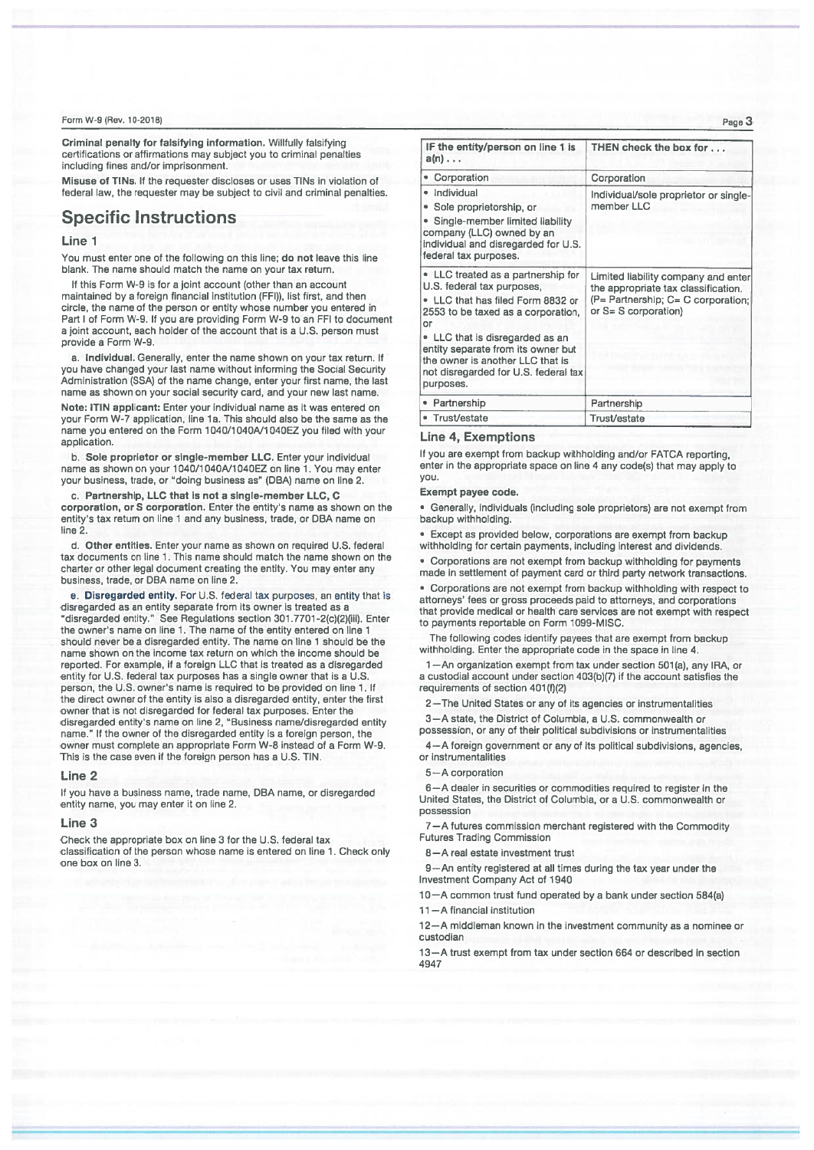Criminal penalty for falsifying information. Willfully falsifying certifications or affirmations may subject you to criminal penalties including fines and/or imprisonment.

Misuse of TINs. If the requester discloses or uses TINs in violation of federal law, the requester may be subject to civil and criminal penalties.

# **Specific Instructions**

### Line 1

You must enter one of the following on this line; do not leave this line blank. The name should match the name on your tax return.

If this Form W-9 is for a joint account (other than an account maintained by a foreign financial institution (FFI)), list first, and then circle, the name of the person or entity whose number you entered in Part I of Form W-9. If you are providing Form W-9 to an FFI to document a joint account, each holder of the account that is a U.S. person must provide a Form W-9.

a. Individual. Generally, enter the name shown on your tax return. If you have changed your last name without informing the Social Security Administration (SSA) of the name change, enter your first name, the last name as shown on your social security card, and your new last name.

Note: ITIN applicant: Enter your individual name as it was entered on your Form W-7 application, line 1a. This should also be the same as the name you entered on the Form 1040/1040A/1040EZ you filed with your application.

b. Sole proprietor or single-member LLC. Enter your individual name as shown on your 1040/1040A/1040EZ on line 1. You may enter<br>your business, trade, or "doing business as" (DBA) name on line 2.

c. Partnership, LLC that is not a single-member LLC, C corporation, or S corporation. Enter the entity's name as shown on the entity's tax return on line 1 and any business, trade, or DBA name on line 2.

d. Other entities. Enter your name as shown on required U.S. federal tax documents on line 1. This name should match the name shown on the charter or other legal document creating the entity. You may enter any business, trade, or DBA name on line 2.

e. Disregarded entity. For U.S. federal tax purposes, an entity that is disregarded as an entity separate from its owner is treated as a<br>"disregarded as an entity." See Regulations section 301.7701-2(c)(2)(iii). Enter the owner's name on line 1. The name of the entity entered on line 1 should never be a disregarded entity. The name on line 1 should be the name shown on the income tax return on which the income should be reported. For example, if a foreign LLC that is treated as a disregarded entity for U.S. federal tax purposes has a single owner that is a U.S. person, the U.S. owner's name is required to be provided on line 1. If the direct owner of the entity is also a disregarded entity, enter the first owner that is not disregarded for federal tax purposes. Enter the disregarded entity's name on line 2, "Business name/disregarded entity name." If the owner of the disregarded entity is a foreign person, the owner must complete an appropriate Form W-8 instead of a Form W-9. This is the case even if the foreign person has a U.S. TIN.

#### Line 2

If you have a business name, trade name, DBA name, or disregarded entity name, you may enter it on line 2.

#### Line 3

Check the appropriate box on line 3 for the U.S. federal tax classification of the person whose name is entered on line 1. Check only one box on line 3.

| IF the entity/person on line 1 is<br>a(n)                                                                                                                                            | THEN check the box for                                                                                                                      |  |  |  |
|--------------------------------------------------------------------------------------------------------------------------------------------------------------------------------------|---------------------------------------------------------------------------------------------------------------------------------------------|--|--|--|
| • Corporation                                                                                                                                                                        | Corporation                                                                                                                                 |  |  |  |
| · Individual<br>Sole proprietorship, or<br>Single-member limited liability<br>company (LLC) owned by an<br>individual and disregarded for U.S.<br>federal tax purposes.              | Individual/sole proprietor or single-<br>member LLC                                                                                         |  |  |  |
| • LLC treated as a partnership for<br>U.S. federal tax purposes,<br>• LLC that has filed Form 8832 or<br>2553 to be taxed as a corporation,<br>or<br>• LLC that is disregarded as an | Limited liability company and enter<br>the appropriate tax classification.<br>(P= Partnership; C= C corporation;<br>or $S = S$ corporation) |  |  |  |
| entity separate from its owner but<br>the owner is another LLC that is<br>not disregarded for U.S. federal tax<br>purposes.                                                          |                                                                                                                                             |  |  |  |
| Partnership                                                                                                                                                                          | Partnership                                                                                                                                 |  |  |  |
| Trust/estate                                                                                                                                                                         | Trust/estate                                                                                                                                |  |  |  |

## **Line 4, Exemptions**

If you are exempt from backup withholding and/or FATCA reporting, enter in the appropriate space on line 4 any code(s) that may apply to you.

#### Exempt payee code.

· Generally, individuals (including sole proprietors) are not exempt from backup withholding

· Except as provided below, corporations are exempt from backup withholding for certain payments, including interest and dividends.

• Corporations are not exempt from backup withholding for payments made in settlement of payment card or third party network transactions.

• Corporations are not exempt from backup withholding with respect to attorneys' fees or gross proceeds paid to attorneys, and corporations that provide medical or health care services are not exempt with respect to payments reportable on Form 1099-MISC.

The following codes identify payees that are exempt from backup withholding. Enter the appropriate code in the space in line 4.

1-An organization exempt from tax under section 501(a), any IRA, or a custodial account under section 403(b)(7) if the account satisfies the requirements of section 401(f)(2)

2-The United States or any of its agencies or instrumentalities 3-A state, the District of Columbia, a U.S. commonwealth or

possession, or any of their political subdivisions or instrumentalities

4-A foreign government or any of its political subdivisions, agencies, or instrumentalities

#### 5-A corporation

6-A dealer in securities or commodities required to register in the United States, the District of Columbia, or a U.S. commonwealth or possession

7-A futures commission merchant registered with the Commodity **Futures Trading Commission** 

8-A real estate investment trust

9-An entity registered at all times during the tax year under the Investment Company Act of 1940

10-A common trust fund operated by a bank under section 584(a)

11-A financial institution

12-A middleman known in the investment community as a nominee or custodian

13-A trust exempt from tax under section 664 or described in section 4947

Page 3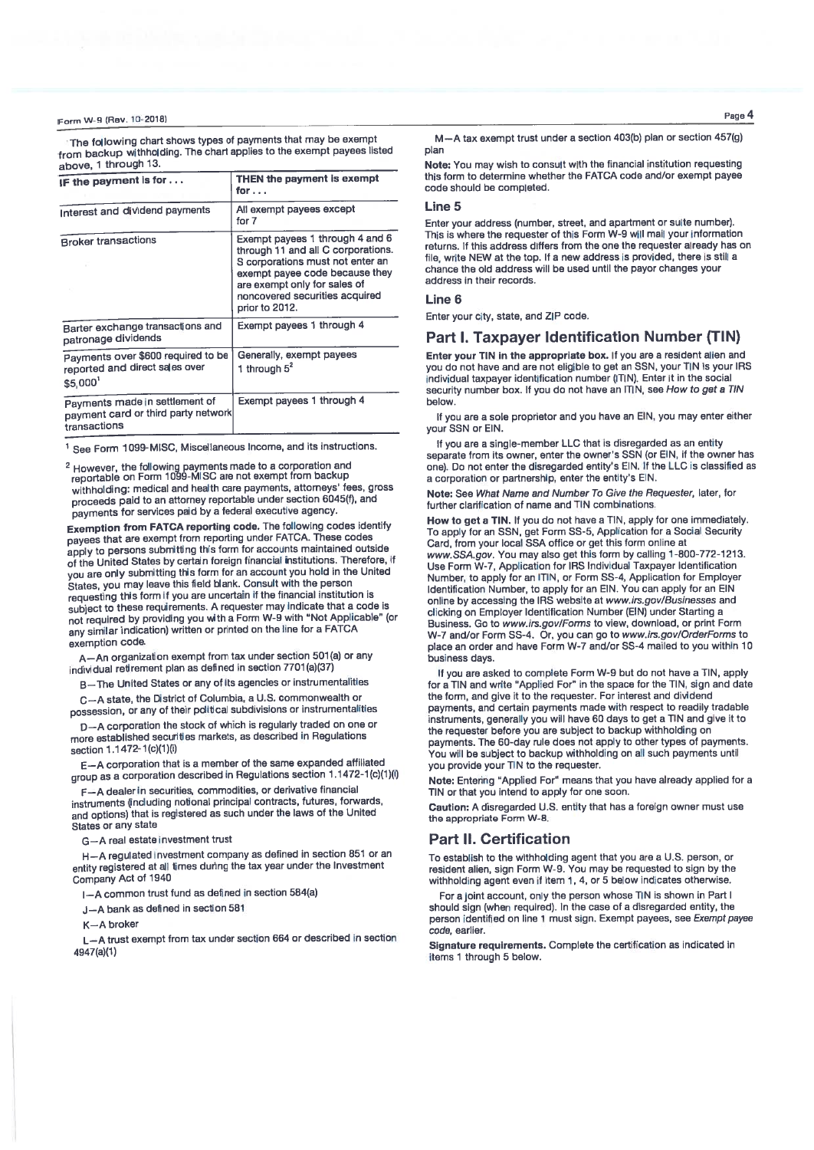The following chart shows types of payments that may be exempt from backup withholding. The chart applies to the exempt payees listed  $t = 1$  through 13

| $a$ uuvu, www.                                                                        |                                                                                                                                                                                                                                 |  |  |  |  |
|---------------------------------------------------------------------------------------|---------------------------------------------------------------------------------------------------------------------------------------------------------------------------------------------------------------------------------|--|--|--|--|
| IF the payment is for                                                                 | THEN the payment is exempt<br>for                                                                                                                                                                                               |  |  |  |  |
| Interest and dividend payments                                                        | All exempt payees except<br>for 7                                                                                                                                                                                               |  |  |  |  |
| <b>Broker transactions</b>                                                            | Exempt payees 1 through 4 and 6<br>through 11 and all C corporations.<br>S corporations must not enter an<br>exempt payee code because they<br>are exempt only for sales of<br>noncovered securities acquired<br>prior to 2012. |  |  |  |  |
| Barter exchange transactions and<br>patronage dividends                               | Exempt payees 1 through 4                                                                                                                                                                                                       |  |  |  |  |
| Payments over \$600 required to be<br>reported and direct sales over<br>\$5,000       | Generally, exempt payees<br>1 through $5^2$                                                                                                                                                                                     |  |  |  |  |
| Payments made in settlement of<br>payment card or third party network<br>transactions | Exempt payees 1 through 4                                                                                                                                                                                                       |  |  |  |  |

<sup>1</sup> See Form 1099-MISC, Miscellaneous Income, and its instructions.

<sup>2</sup> However, the following payments made to a corporation and<br>reportable on Form 1099-MISC are not exempt from backup withholding: medical and health care payments, attorneys' fees, gross proceeds paid to an attorney reportable under section 6045(f), and payments for services paid by a federal executive agency.

Exemption from FATCA reporting code. The following codes identify payees that are exempt from reporting under FATCA. These codes apply to persons submitting this form for accounts maintained outside of the United States by certain foreign financial institutions. Therefore, if you are only submitting this form for an account you hold in the United States, you may leave this field blank. Consult with the person requesting this form if you are uncertain if the financial institution is subject to these requirements. A requester may indicate that a code is not required by providing you with a Form W-9 with "Not Applicable" (or any similar indication) written or printed on the line for a FATCA exemption code.

A-An organization exempt from tax under section 501(a) or any individual retirement plan as defined in section 7701(a)(37)

B-The United States or any of its agencies or instrumentalities

C-A state, the District of Columbia, a U.S. commonwealth or possession, or any of their political subdivisions or instrumentalities

D-A corporation the stock of which is regularly traded on one or more established securities markets, as described in Regulations section 1.1472-1(c)(1)(i)

E-A corporation that is a member of the same expanded affiliated group as a corporation described in Regulations section 1.1472-1(c)(1)(i)

F-A dealer in securities, commodities, or derivative financial instruments (including notional principal contracts, futures, forwards, and options) that is registered as such under the laws of the United States or any state

G-A real estate investment trust

H-A regulated investment company as defined in section 851 or an entity registered at all times during the tax year under the Investment Company Act of 1940

I-A common trust fund as defined in section 584(a)

J-A bank as defined in section 581

 $K = A$  broker

L-A trust exempt from tax under section 664 or described in section 4947(a)(1)

Page 4

M-A tax exempt trust under a section 403(b) plan or section 457(g) plan

Note: You may wish to consult with the financial institution requesting this form to determine whether the FATCA code and/or exempt payee code should be completed.

Enter your address (number, street, and apartment or suite number). This is where the requester of this Form W-9 will mail your information returns. If this address differs from the one the requester already has on file, write NEW at the top. If a new address is provided, there is still a chance the old address will be used until the payor changes your address in their records.

#### Line 6

Enter your city, state, and ZIP code.

## **Part I. Taxpayer Identification Number (TIN)**

Enter your TIN in the appropriate box. If you are a resident alien and you do not have and are not eligible to get an SSN, your TIN is your IRS individual taxpayer identification number (ITIN). Enter it in the social security number box. If you do not have an ITIN, see How to get a TIN holmu

If you are a sole proprietor and you have an EIN, you may enter either vour SSN or EIN.

If you are a single-member LLC that is disregarded as an entity separate from its owner, enter the owner's SSN (or EIN, if the owner has one). Do not enter the disregarded entity's EIN. If the LLC is classified as a corporation or partnership, enter the entity's EIN.

Note: See What Name and Number To Give the Requester, later, for further clarification of name and TIN combinations.

How to get a TIN. If you do not have a TIN, apply for one immediately. To apply for an SSN, get Form SS-5, Application for a Social Security Card, from your local SSA office or get this form online at www.SSA.gov. You may also get this form by calling 1-800-772-1213. Use Form W-7, Application for IRS Individual Taxpayer Identification Number, to apply for an ITIN, or Form SS-4, Application for Employer<br>Identification Number, to apply for an EIN. You can apply for an EIN online by accessing the IRS website at www.irs.gov/Businesses and clicking on Employer Identification Number (EIN) under Starting a Business. Go to www.irs.gov/Forms to view, download, or print Form W-7 and/or Form SS-4. Or, you can go to www.irs.gov/OrderForms to place an order and have Form W-7 and/or SS-4 mailed to you within 10 business days

If you are asked to complete Form W-9 but do not have a TIN. apply for a TIN and write "Applied For" in the space for the TIN, sign and date the form, and give it to the requester. For interest and dividend payments, and certain payments made with respect to readily tradable instruments, generally you will have 60 days to get a TIN and give it to the requester before you are subject to backup withholding on payments. The 60-day rule does not apply to other types of payments. You will be subject to backup withholding on all such payments until you provide your TIN to the requester.

Note: Entering "Applied For" means that you have already applied for a TIN or that you intend to apply for one soon.

Caution: A disregarded U.S. entity that has a foreign owner must use the appropriate Form W-8.

## **Part II. Certification**

To establish to the withholding agent that you are a U.S. person, or resident alien, sign Form W-9. You may be requested to sign by the withholding agent even if item 1, 4, or 5 below indicates otherwise.

For a joint account, only the person whose TIN is shown in Part I should sign (when required). In the case of a disregarded entity, the person identified on line 1 must sign. Exempt payees, see Exempt payee code, earlier.

Signature requirements. Complete the certification as indicated in items 1 through 5 below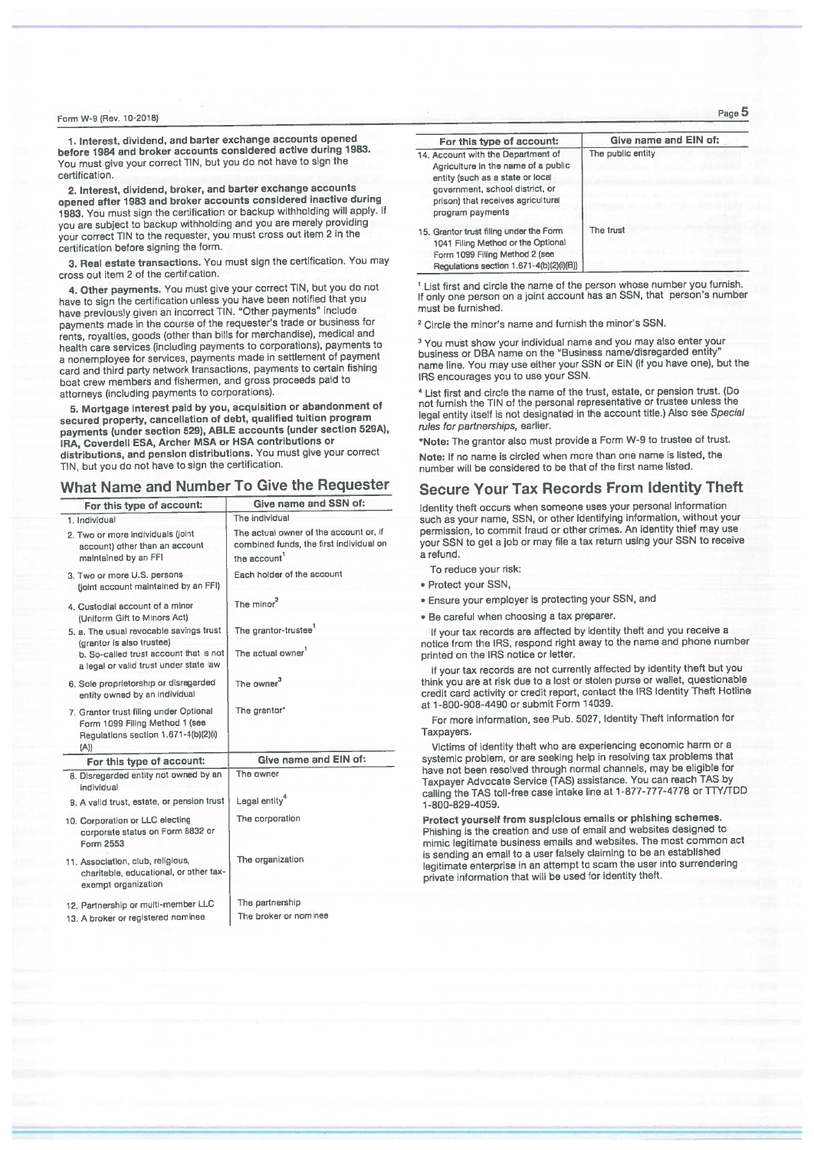1. Interest, dividend, and barter exchange accounts opened before 1984 and broker accounts considered active during 1983. You must give your correct TIN, but you do not have to sign the certification

2. Interest, dividend, broker, and barter exchange accounts opened after 1983 and broker accounts considered inactive during 1983. You must sign the certification or backup withholding will apply. If you are subject to backup withholding and you are merely providing your correct TIN to the requester, you must cross out item 2 in the certification before signing the form.

3. Real estate transactions. You must sign the certification. You may cross out item 2 of the certification.

4. Other payments. You must give your correct TIN, but you do not have to sign the certification unless you have been notified that you<br>have previously given an incorrect TIN. "Other payments" include payments made in the course of the requester's trade or business for rents, royalties, goods (other than bills for merchandise), medical and health care services (including payments to corporations), payments to a nonemployee for services, payments made in settlement of payment card and third party network transactions, payments to certain fishing boat crew members and fishermen, and gross proceeds paid to attorneys (including payments to corporations).

5. Mortgage interest paid by you, acquisition or abandonment of secured property, cancellation of debt, qualified tuition program payments (under section 529), ABLE accounts (under section 529A), IRA, Coverdell ESA, Archer MSA or HSA contributions or distributions, and pension distributions. You must give your correct TIN, but you do not have to sign the certification.

# What Name and Number To Give the Requester

| For this type of account:                                                                                                | Give name and SSN of:                                                                                         |  |  |  |  |
|--------------------------------------------------------------------------------------------------------------------------|---------------------------------------------------------------------------------------------------------------|--|--|--|--|
| 1. Individual                                                                                                            | The individual                                                                                                |  |  |  |  |
| 2. Two or more individuals (joint<br>account) other than an account<br>maintained by an FFI                              | The actual owner of the account or, if<br>combined funds, the first individual on<br>the account <sup>1</sup> |  |  |  |  |
| 3. Two or more U.S. persons<br>(joint account maintained by an FFI)                                                      | Each holder of the account                                                                                    |  |  |  |  |
| 4. Custodial account of a minor<br>(Uniform Gift to Minors Act)                                                          | The minor <sup>2</sup>                                                                                        |  |  |  |  |
| 5. a. The usual revocable savings trust                                                                                  | The grantor-trustee <sup>1</sup>                                                                              |  |  |  |  |
| (grantor is also trustee)<br>b. So-called trust account that is not<br>a legal or valid trust under state law            | The actual owner                                                                                              |  |  |  |  |
| 6. Sole proprietorship or disregarded<br>entity owned by an individual                                                   | The owner <sup>3</sup>                                                                                        |  |  |  |  |
| 7. Grantor trust filing under Optional<br>Form 1099 Filing Method 1 (see<br>Regulations section 1.671-4(b)(2)(i)<br>(A)) | The grantor*                                                                                                  |  |  |  |  |
| For this type of account:                                                                                                | Give name and EIN of:                                                                                         |  |  |  |  |
| 8. Disregarded entity not owned by an<br>individual                                                                      | The owner                                                                                                     |  |  |  |  |
| 9. A valid trust, estate, or pension trust                                                                               | Legal entity <sup>4</sup>                                                                                     |  |  |  |  |
| 10. Corporation or LLC electing<br>corporate status on Form 8832 or<br>Form 2553                                         | The corporation                                                                                               |  |  |  |  |
| 11. Association, club, religious,<br>charitable, educational, or other tax-<br>exempt organization                       | The organization                                                                                              |  |  |  |  |
| 12. Partnership or multi-member LLC                                                                                      | The partnership                                                                                               |  |  |  |  |
| 13. A broker or registered nominee                                                                                       | The broker or nominee                                                                                         |  |  |  |  |

| For this type of account:                                                                                                                                                                                  | Give name and EIN of: |  |  |  |  |
|------------------------------------------------------------------------------------------------------------------------------------------------------------------------------------------------------------|-----------------------|--|--|--|--|
| 14. Account with the Department of<br>Agriculture in the name of a public<br>entity (such as a state or local<br>government, school district, or<br>prison) that receives agricultural<br>program payments | The public entity     |  |  |  |  |
| 15. Grantor trust filing under the Form<br>1041 Filing Method or the Optional<br>Form 1099 Filing Method 2 (see<br>Regulations section 1.671-4(b)(2)(i)(B))                                                | The trust             |  |  |  |  |

<sup>1</sup> List first and circle the name of the person whose number you furnish.<br>If only one person on a joint account has an SSN, that person's number must be furnished.

<sup>2</sup> Circle the minor's name and furnish the minor's SSN.

<sup>3</sup> You must show your individual name and you may also enter your business or DBA name on the "Business name/disregarded entity" name line. You may use either your SSN or EIN (if you have one), but the IRS encourages you to use your SSN.

<sup>4</sup> List first and circle the name of the trust, estate, or pension trust. (Do not furnish the TIN of the personal representative or trustee unless the legal entity itself is not designated in the account title.) Also see Special rules for partnerships, earlier.

\*Note: The grantor also must provide a Form W-9 to trustee of trust.

Note: If no name is circled when more than one name is listed, the number will be considered to be that of the first name listed.

# **Secure Your Tax Records From Identity Theft**

Identity theft occurs when someone uses your personal information such as your name, SSN, or other identifying information, without your permission, to commit fraud or other crimes. An identity thief may use your SSN to get a job or may file a tax return using your SSN to receive a refund.

To reduce your risk:

- · Protect your SSN,
- · Ensure your employer is protecting your SSN, and
- . Be careful when choosing a tax preparer.

If your tax records are affected by identity theft and you receive a notice from the IRS, respond right away to the name and phone number printed on the IRS notice or letter.

If your tax records are not currently affected by identity theft but you think you are at risk due to a lost or stolen purse or wallet, questionable credit card activity or credit report, contact the IRS Identity Theft Hotline at 1-800-908-4490 or submit Form 14039.

For more information, see Pub. 5027, Identity Theft Information for Taxpayers.

Victims of identity theft who are experiencing economic harm or a systemic problem, or are seeking help in resolving tax problems that have not been resolved through normal channels, may be eligible for Taxpayer Advocate Service (TAS) assistance. You can reach TAS by calling the TAS toll-free case intake line at 1-877-777-4778 or TTY/TDD 1-800-829-4059.

Protect yourself from suspicious emails or phishing schemes. Phishing is the creation and use of email and websites designed to mimic legitimate business emails and websites. The most common act is sending an email to a user falsely claiming to be an established legitimate enterprise in an attempt to scam the user into surrendering private information that will be used for identity theft.

Page 5